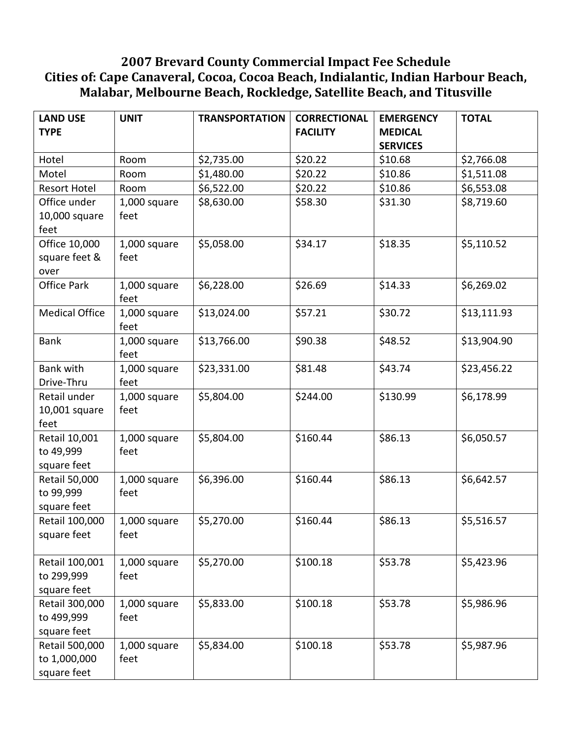## **2007 Brevard County Commercial Impact Fee Schedule Cities of: Cape Canaveral, Cocoa, Cocoa Beach, Indialantic, Indian Harbour Beach, Malabar, Melbourne Beach, Rockledge, Satellite Beach, and Titusville**

| <b>LAND USE</b><br><b>TYPE</b> | <b>UNIT</b>          | <b>TRANSPORTATION</b> | <b>CORRECTIONAL</b><br><b>FACILITY</b> | <b>EMERGENCY</b><br><b>MEDICAL</b> | <b>TOTAL</b> |
|--------------------------------|----------------------|-----------------------|----------------------------------------|------------------------------------|--------------|
|                                |                      |                       |                                        | <b>SERVICES</b>                    |              |
| Hotel                          | Room                 | \$2,735.00            | \$20.22                                | \$10.68                            | \$2,766.08   |
| Motel                          | Room                 | \$1,480.00            | \$20.22                                | \$10.86                            | \$1,511.08   |
| <b>Resort Hotel</b>            | Room                 | \$6,522.00            | \$20.22                                | \$10.86                            | \$6,553.08   |
| Office under                   | 1,000 square         | \$8,630.00            | \$58.30                                | \$31.30                            | \$8,719.60   |
| 10,000 square                  | feet                 |                       |                                        |                                    |              |
| feet                           |                      |                       |                                        |                                    |              |
| Office 10,000                  | 1,000 square         | \$5,058.00            | \$34.17                                | \$18.35                            | \$5,110.52   |
| square feet &                  | feet                 |                       |                                        |                                    |              |
| over                           |                      |                       |                                        |                                    |              |
| <b>Office Park</b>             | 1,000 square<br>feet | \$6,228.00            | \$26.69                                | \$14.33                            | \$6,269.02   |
| <b>Medical Office</b>          | 1,000 square<br>feet | \$13,024.00           | \$57.21                                | \$30.72                            | \$13,111.93  |
| <b>Bank</b>                    | 1,000 square         | \$13,766.00           | \$90.38                                | \$48.52                            | \$13,904.90  |
|                                | feet                 |                       |                                        |                                    |              |
| <b>Bank with</b>               | 1,000 square         | \$23,331.00           | \$81.48                                | \$43.74                            | \$23,456.22  |
| Drive-Thru                     | feet                 |                       |                                        |                                    |              |
| Retail under                   | 1,000 square         | \$5,804.00            | \$244.00                               | \$130.99                           | \$6,178.99   |
| 10,001 square                  | feet                 |                       |                                        |                                    |              |
| feet                           |                      |                       |                                        |                                    |              |
| Retail 10,001                  | 1,000 square         | \$5,804.00            | \$160.44                               | \$86.13                            | \$6,050.57   |
| to 49,999                      | feet                 |                       |                                        |                                    |              |
| square feet                    |                      |                       |                                        |                                    |              |
| Retail 50,000                  | 1,000 square         | \$6,396.00            | \$160.44                               | \$86.13                            | \$6,642.57   |
| to 99,999                      | feet                 |                       |                                        |                                    |              |
| square feet                    |                      |                       |                                        |                                    |              |
| Retail 100,000                 | 1,000 square         | \$5,270.00            | \$160.44                               | \$86.13                            | \$5,516.57   |
| square feet                    | feet                 |                       |                                        |                                    |              |
|                                |                      |                       |                                        |                                    |              |
| Retail 100,001                 | 1,000 square         | \$5,270.00            | \$100.18                               | \$53.78                            | \$5,423.96   |
| to 299,999                     | feet                 |                       |                                        |                                    |              |
| square feet                    |                      |                       |                                        |                                    |              |
| Retail 300,000                 | 1,000 square         | \$5,833.00            | \$100.18                               | \$53.78                            | \$5,986.96   |
| to 499,999                     | feet                 |                       |                                        |                                    |              |
| square feet                    |                      |                       |                                        |                                    |              |
| Retail 500,000                 | 1,000 square         | \$5,834.00            | \$100.18                               | \$53.78                            | \$5,987.96   |
| to 1,000,000                   | feet                 |                       |                                        |                                    |              |
| square feet                    |                      |                       |                                        |                                    |              |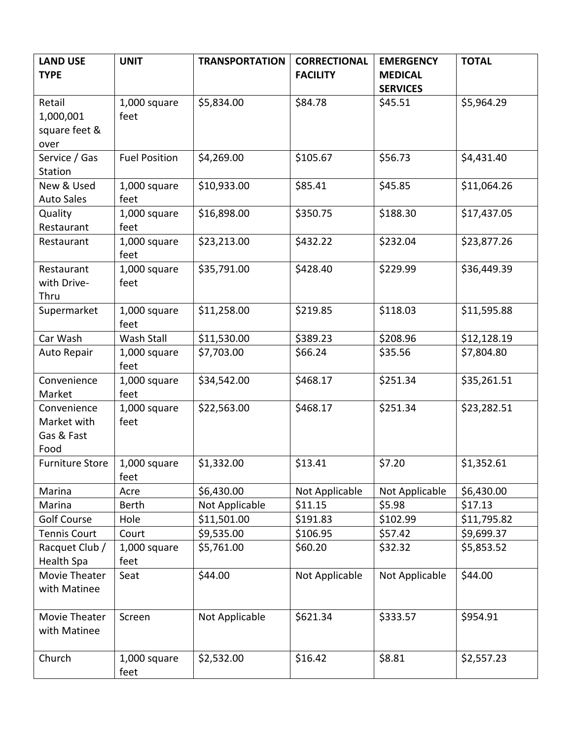| <b>LAND USE</b><br><b>TYPE</b> | <b>UNIT</b>          | <b>TRANSPORTATION</b> | <b>CORRECTIONAL</b><br><b>FACILITY</b> | <b>EMERGENCY</b><br><b>MEDICAL</b> | <b>TOTAL</b> |
|--------------------------------|----------------------|-----------------------|----------------------------------------|------------------------------------|--------------|
|                                |                      |                       |                                        | <b>SERVICES</b>                    |              |
| Retail                         | 1,000 square         | \$5,834.00            | \$84.78                                | \$45.51                            | \$5,964.29   |
| 1,000,001                      | feet                 |                       |                                        |                                    |              |
| square feet &                  |                      |                       |                                        |                                    |              |
| over                           |                      |                       |                                        |                                    |              |
| Service / Gas                  | <b>Fuel Position</b> | \$4,269.00            | \$105.67                               | \$56.73                            | \$4,431.40   |
| Station                        |                      |                       |                                        |                                    |              |
| New & Used                     | 1,000 square         | \$10,933.00           | \$85.41                                | \$45.85                            | \$11,064.26  |
| <b>Auto Sales</b>              | feet                 |                       |                                        |                                    |              |
| Quality                        | 1,000 square         | \$16,898.00           | \$350.75                               | \$188.30                           | \$17,437.05  |
| Restaurant                     | feet                 |                       |                                        |                                    |              |
| Restaurant                     | 1,000 square<br>feet | \$23,213.00           | \$432.22                               | \$232.04                           | \$23,877.26  |
| Restaurant                     | 1,000 square         | \$35,791.00           | \$428.40                               | \$229.99                           | \$36,449.39  |
| with Drive-                    | feet                 |                       |                                        |                                    |              |
| Thru                           |                      |                       |                                        |                                    |              |
| Supermarket                    | 1,000 square<br>feet | \$11,258.00           | \$219.85                               | \$118.03                           | \$11,595.88  |
| Car Wash                       | Wash Stall           | \$11,530.00           | \$389.23                               | \$208.96                           | \$12,128.19  |
| Auto Repair                    | 1,000 square<br>feet | \$7,703.00            | \$66.24                                | \$35.56                            | \$7,804.80   |
| Convenience                    | 1,000 square         | \$34,542.00           | \$468.17                               | \$251.34                           | \$35,261.51  |
| Market                         | feet                 |                       |                                        |                                    |              |
| Convenience                    | 1,000 square         | \$22,563.00           | \$468.17                               | \$251.34                           | \$23,282.51  |
| Market with                    | feet                 |                       |                                        |                                    |              |
| Gas & Fast                     |                      |                       |                                        |                                    |              |
| Food                           |                      |                       |                                        |                                    |              |
| <b>Furniture Store</b>         | 1,000 square         | \$1,332.00            | \$13.41                                | \$7.20                             | \$1,352.61   |
|                                | feet                 |                       |                                        |                                    |              |
| Marina                         | Acre                 | \$6,430.00            | Not Applicable                         | Not Applicable                     | \$6,430.00   |
| Marina                         | <b>Berth</b>         | Not Applicable        | \$11.15                                | \$5.98                             | \$17.13      |
| <b>Golf Course</b>             | Hole                 | \$11,501.00           | \$191.83                               | \$102.99                           | \$11,795.82  |
| <b>Tennis Court</b>            | Court                | \$9,535.00            | \$106.95                               | \$57.42                            | \$9,699.37   |
| Racquet Club /                 | 1,000 square         | \$5,761.00            | \$60.20                                | \$32.32                            | \$5,853.52   |
| Health Spa<br>Movie Theater    | feet                 | \$44.00               |                                        |                                    |              |
| with Matinee                   | Seat                 |                       | Not Applicable                         | Not Applicable                     | \$44.00      |
|                                |                      |                       |                                        |                                    |              |
| Movie Theater                  | Screen               | Not Applicable        | \$621.34                               | \$333.57                           | \$954.91     |
| with Matinee                   |                      |                       |                                        |                                    |              |
| Church                         | 1,000 square         | \$2,532.00            | \$16.42                                | \$8.81                             | \$2,557.23   |
|                                | feet                 |                       |                                        |                                    |              |